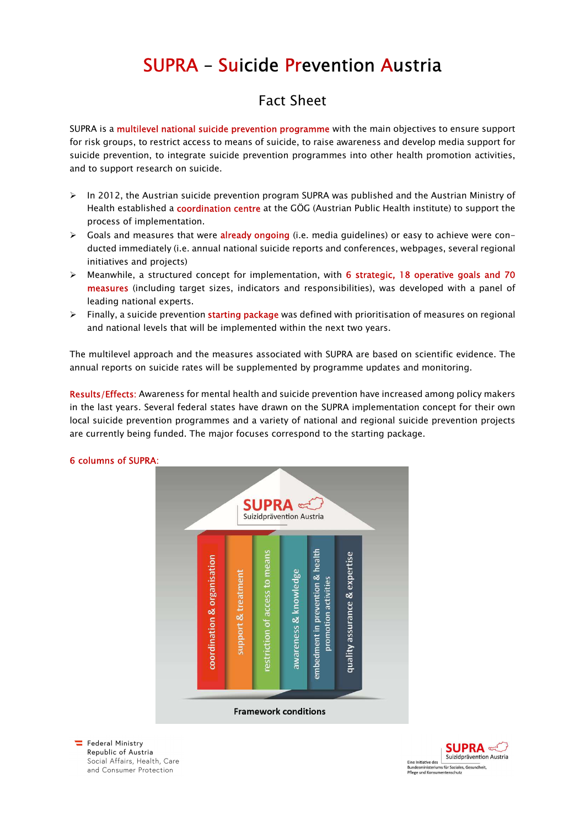## SUPRA – Suicide Prevention Austria

## Fact Sheet

SUPRA is a multilevel national suicide prevention programme with the main objectives to ensure support for risk groups, to restrict access to means of suicide, to raise awareness and develop media support for suicide prevention, to integrate suicide prevention programmes into other health promotion activities, and to support research on suicide.

- $\triangleright$  In 2012, the Austrian suicide prevention program SUPRA was published and the Austrian Ministry of Health established a coordination centre at the GÖG (Austrian Public Health institute) to support the process of implementation.
- $\triangleright$  Goals and measures that were **already ongoing** (i.e. media guidelines) or easy to achieve were conducted immediately (i.e. annual national suicide reports and conferences, webpages, several regional initiatives and projects)
- > Meanwhile, a structured concept for implementation, with 6 strategic, 18 operative goals and 70 measures (including target sizes, indicators and responsibilities), was developed with a panel of leading national experts.
- $\triangleright$  Finally, a suicide prevention starting package was defined with prioritisation of measures on regional and national levels that will be implemented within the next two years.

The multilevel approach and the measures associated with SUPRA are based on scientific evidence. The annual reports on suicide rates will be supplemented by programme updates and monitoring.

Results/Effects: Awareness for mental health and suicide prevention have increased among policy makers in the last years. Several federal states have drawn on the SUPRA implementation concept for their own local suicide prevention programmes and a variety of national and regional suicide prevention projects are currently being funded. The major focuses correspond to the starting package.



## 6 columns of SUPRA:

Federal Ministry Republic of Austria Social Affairs, Health, Care and Consumer Protection